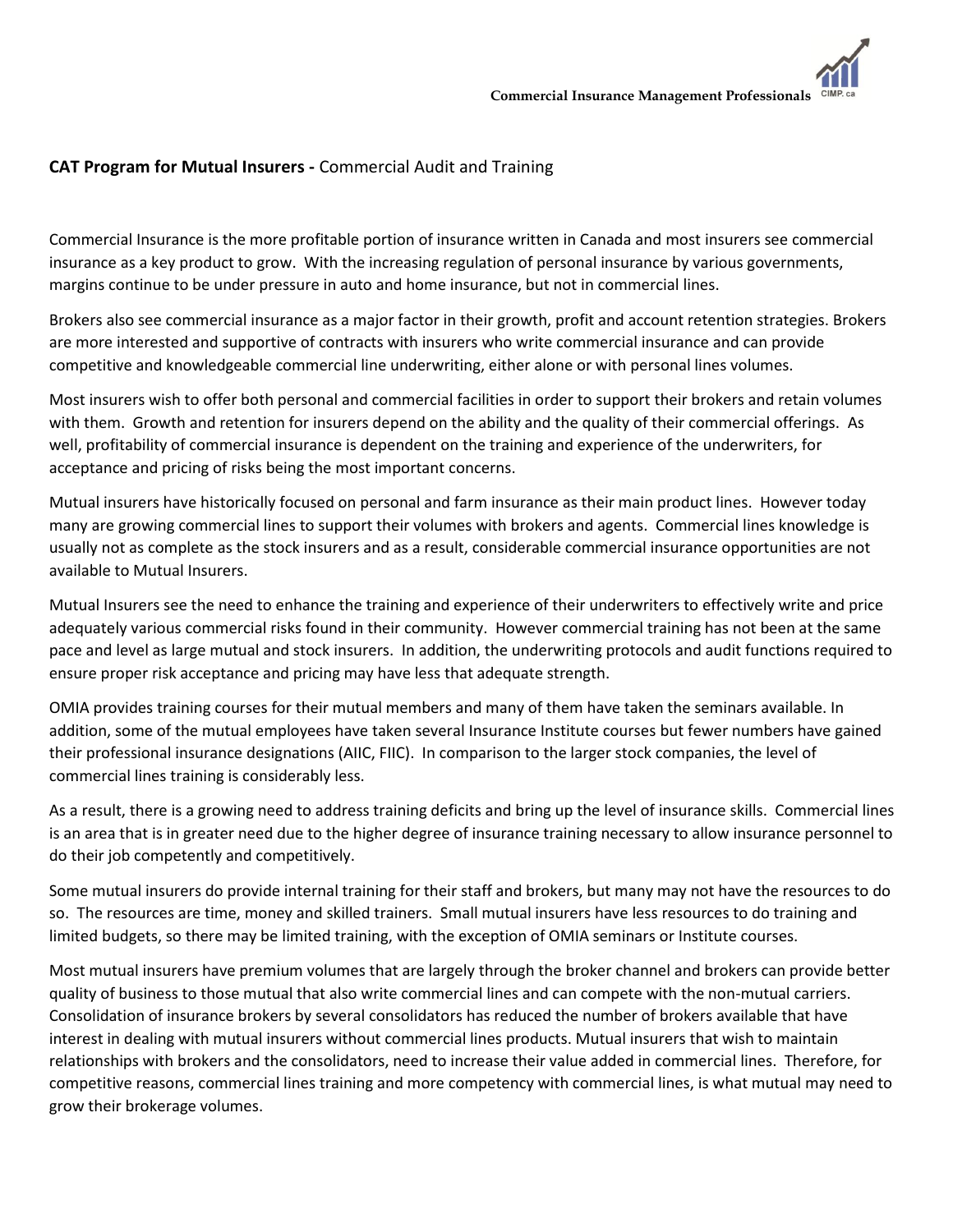## **CAT Program for Mutual Insurers -** Commercial Audit and Training

Commercial Insurance is the more profitable portion of insurance written in Canada and most insurers see commercial insurance as a key product to grow. With the increasing regulation of personal insurance by various governments, margins continue to be under pressure in auto and home insurance, but not in commercial lines.

Brokers also see commercial insurance as a major factor in their growth, profit and account retention strategies. Brokers are more interested and supportive of contracts with insurers who write commercial insurance and can provide competitive and knowledgeable commercial line underwriting, either alone or with personal lines volumes.

Most insurers wish to offer both personal and commercial facilities in order to support their brokers and retain volumes with them. Growth and retention for insurers depend on the ability and the quality of their commercial offerings. As well, profitability of commercial insurance is dependent on the training and experience of the underwriters, for acceptance and pricing of risks being the most important concerns.

Mutual insurers have historically focused on personal and farm insurance as their main product lines. However today many are growing commercial lines to support their volumes with brokers and agents. Commercial lines knowledge is usually not as complete as the stock insurers and as a result, considerable commercial insurance opportunities are not available to Mutual Insurers.

Mutual Insurers see the need to enhance the training and experience of their underwriters to effectively write and price adequately various commercial risks found in their community. However commercial training has not been at the same pace and level as large mutual and stock insurers. In addition, the underwriting protocols and audit functions required to ensure proper risk acceptance and pricing may have less that adequate strength.

OMIA provides training courses for their mutual members and many of them have taken the seminars available. In addition, some of the mutual employees have taken several Insurance Institute courses but fewer numbers have gained their professional insurance designations (AIIC, FIIC). In comparison to the larger stock companies, the level of commercial lines training is considerably less.

As a result, there is a growing need to address training deficits and bring up the level of insurance skills. Commercial lines is an area that is in greater need due to the higher degree of insurance training necessary to allow insurance personnel to do their job competently and competitively.

Some mutual insurers do provide internal training for their staff and brokers, but many may not have the resources to do so. The resources are time, money and skilled trainers. Small mutual insurers have less resources to do training and limited budgets, so there may be limited training, with the exception of OMIA seminars or Institute courses.

Most mutual insurers have premium volumes that are largely through the broker channel and brokers can provide better quality of business to those mutual that also write commercial lines and can compete with the non-mutual carriers. Consolidation of insurance brokers by several consolidators has reduced the number of brokers available that have interest in dealing with mutual insurers without commercial lines products. Mutual insurers that wish to maintain relationships with brokers and the consolidators, need to increase their value added in commercial lines. Therefore, for competitive reasons, commercial lines training and more competency with commercial lines, is what mutual may need to grow their brokerage volumes.